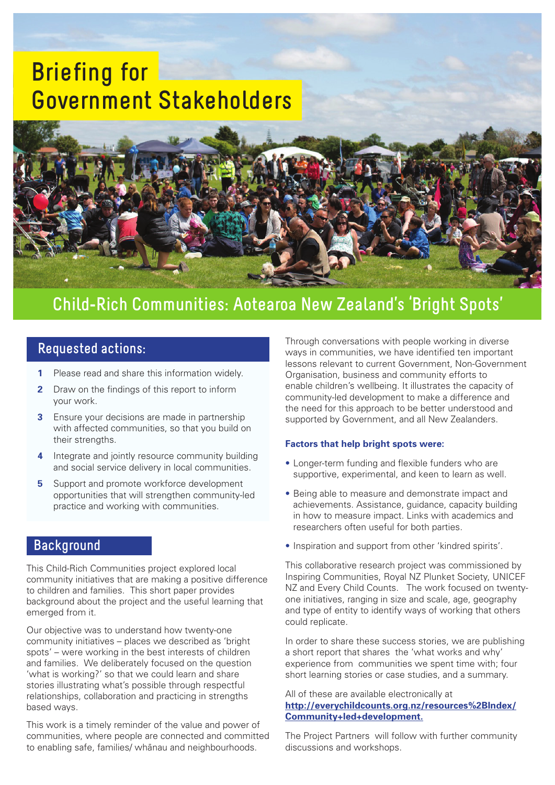# **Briefing for Government Stakeholders**



## **Child-Rich Communities: Aotearoa New Zealand's 'Bright Spots'**

- **1** Please read and share this information widely.
- **2** Draw on the findings of this report to inform your work.
- **3** Ensure your decisions are made in partnership with affected communities, so that you build on their strengths.
- **4** Integrate and jointly resource community building and social service delivery in local communities.
- **5** Support and promote workforce development opportunities that will strengthen community-led practice and working with communities.

### **Background**

This Child-Rich Communities project explored local community initiatives that are making a positive difference to children and families. This short paper provides background about the project and the useful learning that emerged from it.

Our objective was to understand how twenty-one community initiatives – places we described as 'bright spots' – were working in the best interests of children and families. We deliberately focused on the question 'what is working?' so that we could learn and share stories illustrating what's possible through respectful relationships, collaboration and practicing in strengths based ways.

This work is a timely reminder of the value and power of communities, where people are connected and committed to enabling safe, families/ whanau and neighbourhoods.

**Requested actions:** Through conversations with people working in diverse<br>
ways in communities, we have identified ten important lessons relevant to current Government, Non-Government Organisation, business and community efforts to enable children's wellbeing. It illustrates the capacity of community-led development to make a difference and the need for this approach to be better understood and supported by Government, and all New Zealanders.

#### **Factors that help bright spots were:**

- Longer-term funding and flexible funders who are supportive, experimental, and keen to learn as well.
- Being able to measure and demonstrate impact and achievements. Assistance, guidance, capacity building in how to measure impact. Links with academics and researchers often useful for both parties.
- Inspiration and support from other 'kindred spirits'.

This collaborative research project was commissioned by Inspiring Communities, Royal NZ Plunket Society, UNICEF NZ and Every Child Counts. The work focused on twentyone initiatives, ranging in size and scale, age, geography and type of entity to identify ways of working that others could replicate.

In order to share these success stories, we are publishing a short report that shares the 'what works and why' experience from communities we spent time with; four short learning stories or case studies, and a summary.

#### All of these are available electronically at **http://everychildcounts.org.nz/resources%2BIndex/ Community+led+development.**

The Project Partners will follow with further community discussions and workshops.